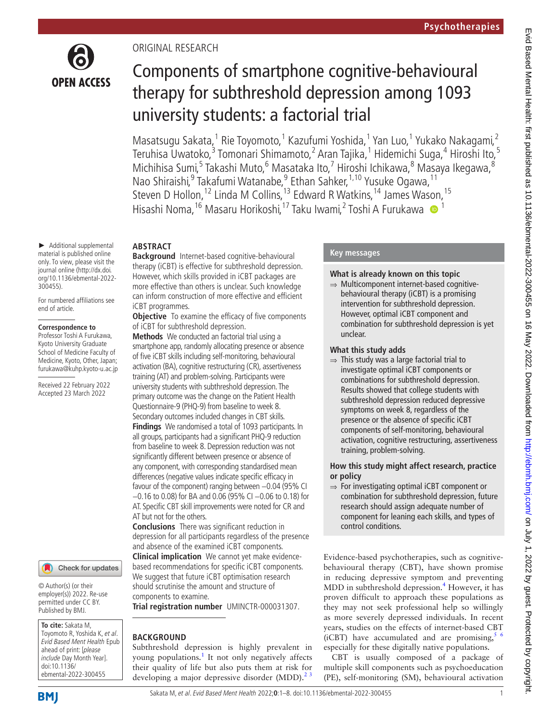

# ORIGINAL RESEARCH

# Components of smartphone cognitive-behavioural therapy for subthreshold depression among 1093 university students: a factorial trial

Masatsugu Sakata,<sup>1</sup> Rie Toyomoto,<sup>1</sup> Kazufumi Yoshida,<sup>1</sup> Yan Luo,<sup>1</sup> Yukako Nakagami,<sup>2</sup> Teruhisa Uwatoko,<sup>3</sup> Tomonari Shimamoto,<sup>2</sup> Aran Tajika,<sup>1</sup> Hidemichi Suga,<sup>4</sup> Hiroshi Ito,<sup>5</sup> Michihisa Sumi,<sup>5</sup> Takashi Muto,<sup>6</sup> Masataka Ito,<sup>7</sup> Hiroshi Ichikawa,<sup>8</sup> Masaya Ikegawa,<sup>8</sup> Nao Shiraishi, <sup>9</sup> Takafumi Watanabe, <sup>9</sup> Ethan Sahker, <sup>1, 10</sup> Yusuke Ogawa, <sup>11</sup> Steven D Hollon,<sup>12</sup> Linda M Collins,<sup>13</sup> Edward R Watkins,<sup>14</sup> James Wason,<sup>15</sup> Hisashi Noma,<sup>16</sup> Masaru Horikoshi,<sup>17</sup> Taku Iwami,<sup>2</sup> Toshi A Furukawa <sup>19</sup>

► Additional supplemental material is published online only. To view, please visit the journal online ([http://dx.doi.](http://dx.doi.org/10.1136/ebmental-2022-300455) [org/10.1136/ebmental-2022-](http://dx.doi.org/10.1136/ebmental-2022-300455) [300455](http://dx.doi.org/10.1136/ebmental-2022-300455)).

For numbered affiliations see end of article.

#### **Correspondence to**

Professor Toshi A Furukawa, Kyoto University Graduate School of Medicine Faculty of Medicine, Kyoto, Other, Japan; furukawa@kuhp.kyoto-u.ac.jp

Received 22 February 2022 Accepted 23 March 2022



© Author(s) (or their employer(s)) 2022. Re-use permitted under CC BY. Published by BMJ.

**To cite:** Sakata M, Toyomoto R, Yoshida K, et al. Evid Based Ment Health Epub ahead of print: [please include Day Month Year]. doi:10.1136/ ebmental-2022-300455

**ABSTRACT**

**Background** Internet-based cognitive-behavioural therapy (iCBT) is effective for subthreshold depression. However, which skills provided in iCBT packages are more effective than others is unclear. Such knowledge can inform construction of more effective and efficient iCBT programmes.

**Objective** To examine the efficacy of five components of iCBT for subthreshold depression.

**Methods** We conducted an factorial trial using a smartphone app, randomly allocating presence or absence of five iCBT skills including self-monitoring, behavioural activation (BA), cognitive restructuring (CR), assertiveness training (AT) and problem-solving. Participants were university students with subthreshold depression. The primary outcome was the change on the Patient Health Questionnaire-9 (PHQ-9) from baseline to week 8. Secondary outcomes included changes in CBT skills.

**Findings** We randomised a total of 1093 participants. In all groups, participants had a significant PHQ-9 reduction from baseline to week 8. Depression reduction was not significantly different between presence or absence of any component, with corresponding standardised mean differences (negative values indicate specific efficacy in favour of the component) ranging between −0.04 (95% CI −0.16 to 0.08) for BA and 0.06 (95% CI −0.06 to 0.18) for AT. Specific CBT skill improvements were noted for CR and AT but not for the others.

**Conclusions** There was significant reduction in depression for all participants regardless of the presence and absence of the examined iCBT components. **Clinical implication** We cannot yet make evidence-

based recommendations for specific iCBT components. We suggest that future iCBT optimisation research should scrutinise the amount and structure of components to examine.

**Trial registration number** UMINCTR-000031307.

## **BACKGROUND**

Subthreshold depression is highly prevalent in young populations.<sup>[1](#page-6-0)</sup> It not only negatively affects their quality of life but also puts them at risk for developing a major depressive disorder  $(MDD)$ .<sup>23</sup>

# **Key messages**

## **What is already known on this topic**

⇒ Multicomponent internet-based cognitivebehavioural therapy (iCBT) is a promising intervention for subthreshold depression. However, optimal iCBT component and combination for subthreshold depression is yet unclear.

#### **What this study adds**

 $\Rightarrow$  This study was a large factorial trial to investigate optimal iCBT components or combinations for subthreshold depression. Results showed that college students with subthreshold depression reduced depressive symptoms on week 8, regardless of the presence or the absence of specific iCBT components of self-monitoring, behavioural activation, cognitive restructuring, assertiveness training, problem-solving.

# **How this study might affect research, practice or policy**

⇒ For investigating optimal iCBT component or combination for subthreshold depression, future research should assign adequate number of component for leaning each skills, and types of control conditions.

Evidence-based psychotherapies, such as cognitivebehavioural therapy (CBT), have shown promise in reducing depressive symptom and preventing MDD in subthreshold depression.<sup>[4](#page-7-0)</sup> However, it has proven difficult to approach these populations as they may not seek professional help so willingly as more severely depressed individuals. In recent years, studies on the effects of internet-based CBT (iCBT) have accumulated and are promising,  $\frac{5}{6}$ especially for these digitally native populations.

CBT is usually composed of a package of multiple skill components such as psychoeducation (PE), self-monitoring (SM), behavioural activation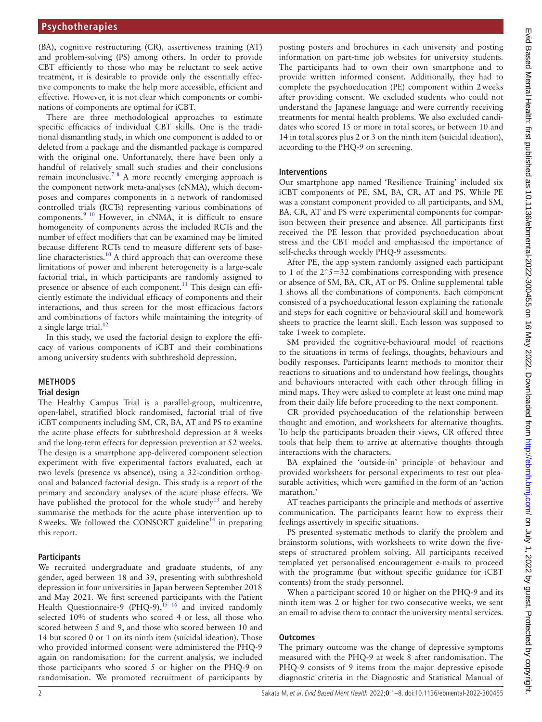(BA), cognitive restructuring (CR), assertiveness training (AT) and problem-solving (PS) among others. In order to provide CBT efficiently to those who may be reluctant to seek active treatment, it is desirable to provide only the essentially effective components to make the help more accessible, efficient and effective. However, it is not clear which components or combinations of components are optimal for iCBT.

There are three methodological approaches to estimate specific efficacies of individual CBT skills. One is the traditional dismantling study, in which one component is added to or deleted from a package and the dismantled package is compared with the original one. Unfortunately, there have been only a handful of relatively small such studies and their conclusions remain inconclusive.<sup>78</sup> A more recently emerging approach is the component network meta-analyses (cNMA), which decomposes and compares components in a network of randomised controlled trials (RCTs) representing various combinations of components.<sup>[9 10](#page-7-3)</sup> However, in cNMA, it is difficult to ensure homogeneity of components across the included RCTs and the number of effect modifiers that can be examined may be limited because different RCTs tend to measure different sets of base-line characteristics.<sup>[10](#page-7-4)</sup> A third approach that can overcome these limitations of power and inherent heterogeneity is a large-scale factorial trial, in which participants are randomly assigned to presence or absence of each component.<sup>[11](#page-7-5)</sup> This design can efficiently estimate the individual efficacy of components and their interactions, and thus screen for the most efficacious factors and combinations of factors while maintaining the integrity of a single large trial. $12$ 

In this study, we used the factorial design to explore the efficacy of various components of iCBT and their combinations among university students with subthreshold depression.

## **METHODS**

#### **Trial design**

The Healthy Campus Trial is a parallel-group, multicentre, open-label, stratified block randomised, factorial trial of five iCBT components including SM, CR, BA, AT and PS to examine the acute phase effects for subthreshold depression at 8 weeks and the long-term effects for depression prevention at 52 weeks. The design is a smartphone app-delivered component selection experiment with five experimental factors evaluated, each at two levels (presence vs absence), using a 32-condition orthogonal and balanced factorial design. This study is a report of the primary and secondary analyses of the acute phase effects. We have published the protocol for the whole study<sup>[13](#page-7-7)</sup> and hereby summarise the methods for the acute phase intervention up to 8 weeks. We followed the CONSORT guideline<sup>14</sup> in preparing this report.

#### **Participants**

We recruited undergraduate and graduate students, of any gender, aged between 18 and 39, presenting with subthreshold depression in four universities in Japan between September 2018 and May 2021. We first screened participants with the Patient Health Questionnaire-9 (PHQ-9),<sup>15 16</sup> and invited randomly selected 10% of students who scored 4 or less, all those who scored between 5 and 9, and those who scored between 10 and 14 but scored 0 or 1 on its ninth item (suicidal ideation). Those who provided informed consent were administered the PHQ-9 again on randomisation: for the current analysis, we included those participants who scored 5 or higher on the PHQ-9 on randomisation. We promoted recruitment of participants by

posting posters and brochures in each university and posting information on part-time job websites for university students. The participants had to own their own smartphone and to provide written informed consent. Additionally, they had to complete the psychoeducation (PE) component within 2weeks after providing consent. We excluded students who could not understand the Japanese language and were currently receiving treatments for mental health problems. We also excluded candidates who scored 15 or more in total scores, or between 10 and 14 in total scores plus 2 or 3 on the ninth item (suicidal ideation), according to the PHQ-9 on screening.

#### **Interventions**

Our smartphone app named 'Resilience Training' included six iCBT components of PE, SM, BA, CR, AT and PS. While PE was a constant component provided to all participants, and SM, BA, CR, AT and PS were experimental components for comparison between their presence and absence. All participants first received the PE lesson that provided psychoeducation about stress and the CBT model and emphasised the importance of self-checks through weekly PHQ-9 assessments.

After PE, the app system randomly assigned each participant to 1 of the  $2^s = 32$  combinations corresponding with presence or absence of SM, BA, CR, AT or PS. [Online supplemental table](https://dx.doi.org/10.1136/ebmental-2022-300455) [1](https://dx.doi.org/10.1136/ebmental-2022-300455) shows all the combinations of components. Each component consisted of a psychoeducational lesson explaining the rationale and steps for each cognitive or behavioural skill and homework sheets to practice the learnt skill. Each lesson was supposed to take 1week to complete.

SM provided the cognitive-behavioural model of reactions to the situations in terms of feelings, thoughts, behaviours and bodily responses. Participants learnt methods to monitor their reactions to situations and to understand how feelings, thoughts and behaviours interacted with each other through filling in mind maps. They were asked to complete at least one mind map from their daily life before proceeding to the next component.

CR provided psychoeducation of the relationship between thought and emotion, and worksheets for alternative thoughts. To help the participants broaden their views, CR offered three tools that help them to arrive at alternative thoughts through interactions with the characters.

BA explained the 'outside-in' principle of behaviour and provided worksheets for personal experiments to test out pleasurable activities, which were gamified in the form of an 'action marathon.'

AT teaches participants the principle and methods of assertive communication. The participants learnt how to express their feelings assertively in specific situations.

PS presented systematic methods to clarify the problem and brainstorm solutions, with worksheets to write down the fivesteps of structured problem solving. All participants received templated yet personalised encouragement e-mails to proceed with the programme (but without specific guidance for iCBT contents) from the study personnel.

When a participant scored 10 or higher on the PHQ-9 and its ninth item was 2 or higher for two consecutive weeks, we sent an email to advise them to contact the university mental services.

## **Outcomes**

The primary outcome was the change of depressive symptoms measured with the PHQ-9 at week 8 after randomisation. The PHQ-9 consists of 9 items from the major depressive episode diagnostic criteria in the Diagnostic and Statistical Manual of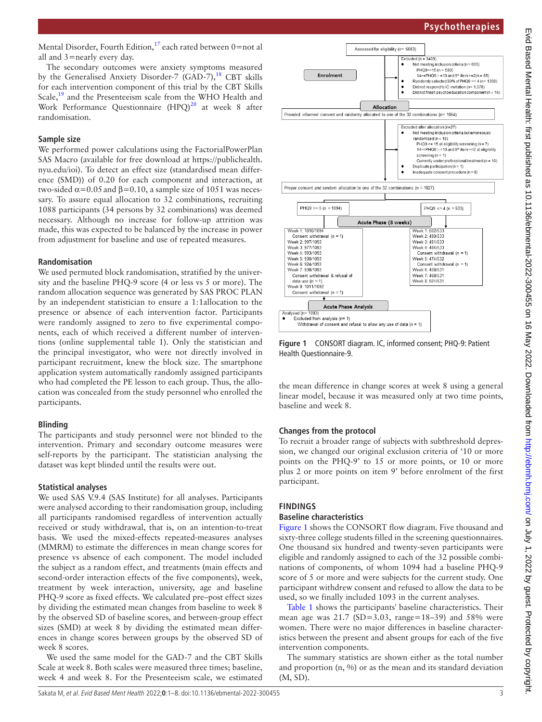Mental Disorder, Fourth Edition,<sup>17</sup> each rated between  $0=$ not al all and 3=nearly every day.

The secondary outcomes were anxiety symptoms measured by the Generalised Anxiety Disorder-7 (GAD-7), $^{18}$  CBT skills for each intervention component of this trial by the CBT Skills Scale,<sup>19</sup> and the Presenteeism scale from the WHO Health and Work Performance Questionnaire (HPQ)<sup>20</sup> at week 8 after randomisation.

#### **Sample size**

We performed power calculations using the FactorialPowerPlan SAS Macro (available for free download at [https://publichealth.](https://publichealth.nyu.edu/ioi) [nyu.edu/ioi](https://publichealth.nyu.edu/ioi)). To detect an effect size (standardised mean difference (SMD)) of 0.20 for each component and interaction, at two-sided  $\alpha$ =0.05 and β=0.10, a sample size of 1051 was necessary. To assure equal allocation to 32 combinations, recruiting 1088 participants (34 persons by 32 combinations) was deemed necessary. Although no increase for follow-up attrition was made, this was expected to be balanced by the increase in power from adjustment for baseline and use of repeated measures.

## **Randomisation**

We used permuted block randomisation, stratified by the university and the baseline PHQ-9 score (4 or less vs 5 or more). The random allocation sequence was generated by SAS PROC PLAN by an independent statistician to ensure a 1:1allocation to the presence or absence of each intervention factor. Participants were randomly assigned to zero to five experimental components, each of which received a different number of interventions [\(online supplemental table 1\)](https://dx.doi.org/10.1136/ebmental-2022-300455). Only the statistician and the principal investigator, who were not directly involved in participant recruitment, knew the block size. The smartphone application system automatically randomly assigned participants who had completed the PE lesson to each group. Thus, the allocation was concealed from the study personnel who enrolled the participants.

## **Blinding**

The participants and study personnel were not blinded to the intervention. Primary and secondary outcome measures were self-reports by the participant. The statistician analysing the dataset was kept blinded until the results were out.

## **Statistical analyses**

We used SAS V.9.4 (SAS Institute) for all analyses. Participants were analysed according to their randomisation group, including all participants randomised regardless of intervention actually received or study withdrawal, that is, on an intention-to-treat basis. We used the mixed-effects repeated-measures analyses (MMRM) to estimate the differences in mean change scores for presence vs absence of each component. The model included the subject as a random effect, and treatments (main effects and second-order interaction effects of the five components), week, treatment by week interaction, university, age and baseline PHQ-9 score as fixed effects. We calculated pre–post effect sizes by dividing the estimated mean changes from baseline to week 8 by the observed SD of baseline scores, and between-group effect sizes (SMD) at week 8 by dividing the estimated mean differences in change scores between groups by the observed SD of week 8 scores.

We used the same model for the GAD-7 and the CBT Skills Scale at week 8. Both scales were measured three times; baseline, week 4 and week 8. For the Presenteeism scale, we estimated



<span id="page-2-0"></span>**Figure 1** CONSORT diagram. IC, informed consent; PHQ-9: Patient Health Questionnaire-9.

the mean difference in change scores at week 8 using a general linear model, because it was measured only at two time points, baseline and week 8.

## **Changes from the protocol**

To recruit a broader range of subjects with subthreshold depression, we changed our original exclusion criteria of '10 or more points on the PHQ-9' to 15 or more points, or 10 or more plus 2 or more points on item 9' before enrolment of the first participant.

## **FINDINGS**

#### **Baseline characteristics**

[Figure](#page-2-0) 1 shows the CONSORT flow diagram. Five thousand and sixty-three college students filled in the screening questionnaires. One thousand six hundred and twenty-seven participants were eligible and randomly assigned to each of the 32 possible combinations of components, of whom 1094 had a baseline PHQ-9 score of 5 or more and were subjects for the current study. One participant withdrew consent and refused to allow the data to be used, so we finally included 1093 in the current analyses.

[Table](#page-3-0) 1 shows the participants' baseline characteristics. Their mean age was  $21.7$  (SD=3.03, range=18–39) and 58% were women. There were no major differences in baseline characteristics between the present and absent groups for each of the five intervention components.

The summary statistics are shown either as the total number and proportion  $(n, \%)$  or as the mean and its standard deviation (M, SD).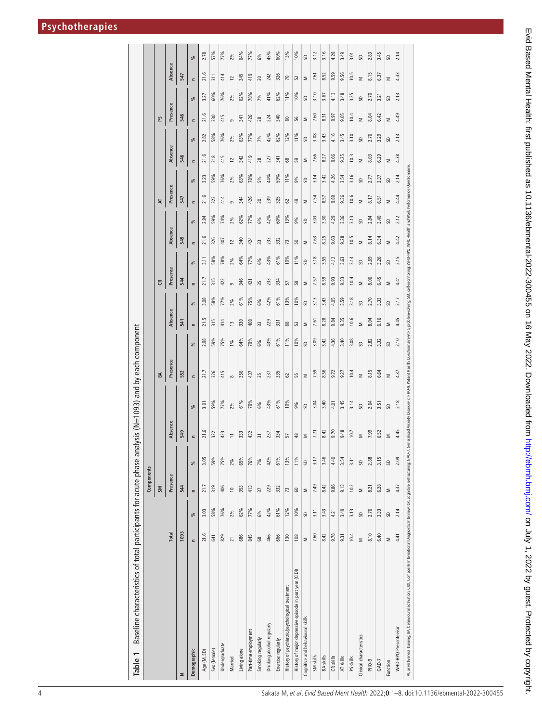<span id="page-3-0"></span>

| Baseline characteristics of total participants for acute phase analysis (N=1093) and by each component<br>Table 1                               |                 |      |                |      |                |      |                                                                                                                                                                         |      |               |      |             |                      |              |                 |      |                |      |            |                       |         |  |
|-------------------------------------------------------------------------------------------------------------------------------------------------|-----------------|------|----------------|------|----------------|------|-------------------------------------------------------------------------------------------------------------------------------------------------------------------------|------|---------------|------|-------------|----------------------|--------------|-----------------|------|----------------|------|------------|-----------------------|---------|--|
|                                                                                                                                                 |                 |      | Components     |      |                |      |                                                                                                                                                                         |      |               |      |             |                      |              |                 |      |                |      |            |                       |         |  |
|                                                                                                                                                 |                 |      | <b>SM</b>      |      |                |      | <b>BA</b>                                                                                                                                                               |      |               |      | $\tilde{c}$ |                      |              | R               |      |                |      | R          |                       |         |  |
|                                                                                                                                                 | Total           |      | Presence       |      | Absence        |      | Presence                                                                                                                                                                |      | Absence       |      | Presence    |                      | Absence      | Presence        |      | Absence        |      | Presence   |                       | Absence |  |
| z                                                                                                                                               | 1093            |      | 544            |      | 549            |      | 552                                                                                                                                                                     |      | 541           |      | 544         |                      | 549          | 547             |      | 546            |      | 546        | 547                   |         |  |
| Demographic                                                                                                                                     | $\equiv$        | %    | $\epsilon$     | %    | $\epsilon$     | $\%$ | $\equiv$                                                                                                                                                                | ್ಗೆ  | $\equiv$      | %    | $\epsilon$  | $\epsilon$<br>%      | ೫            | $\equiv$        | %    | $\equiv$       | %    | $\epsilon$ | $\epsilon$<br>%       | %       |  |
| Age (M, SD)                                                                                                                                     | 21.6            | 3.03 | 21.7           | 3.05 | 21.6           | 3.01 | 21.7                                                                                                                                                                    | 2.98 | 21.5          | 3.08 | 21.7        | 3.11                 | 2.94<br>21.6 | 21.6            | 3.23 | 21.6           | 2.82 | 21.6       | 21.6<br>3.27          | 2.78    |  |
| Sex (female)                                                                                                                                    | 641             | 58%  | 319            | 59%  | 322            | 59%  | 326                                                                                                                                                                     | 59%  | 315           | 58%  | 315         | 58%                  | 59%<br>326   | 323             | 59%  | 318            | 58%  | 330        | $\overline{5}$<br>60% | 57%     |  |
| Undergraduate                                                                                                                                   | 829             | 76%  | 406            | 75%  | 423            | 77%  | 415                                                                                                                                                                     | 75%  | 414           | 77%  | 422         | 407<br>78%           | 74%          | 414             | 76%  | 415            | 76%  | 415        | 414<br>76%            | 77%     |  |
| Married                                                                                                                                         | $\overline{21}$ | 2%   | $\overline{0}$ | 2%   | $\equiv$       | 2%   | $\infty$                                                                                                                                                                | 1%   | $\frac{3}{2}$ | 2%   | G           | $\overline{c}$<br>2% | 2%           | $\sigma$        | 2%   | $\overline{c}$ | 2%   | G          | $\overline{c}$<br>2%  | 2%      |  |
| Living alone                                                                                                                                    | 686             | 62%  | 353            | 65%  | 333            | 61%  | 356                                                                                                                                                                     | 64%  | 330           | 61%  | 346         | 340<br>64%           | 62%          | 344             | 63%  | 342            | 63%  | 341        | 345<br>62%            | 64%     |  |
| Part-time employment                                                                                                                            | 845             | 77%  | 413            | 76%  | 432            | 79%  | 437                                                                                                                                                                     | 79%  | 408           | 75%  | 421         | 77%                  | 77%<br>424   | 426             | 78%  | 419            | 77%  | 426        | 419<br>78%            | 77%     |  |
| Smoking regularly                                                                                                                               | 89              | 6%   | 57             | 7%   | $\overline{3}$ | 6%   | 35                                                                                                                                                                      | 6%   | 33            | 6%   | 35          | 33<br>6%             | 6%           | $\overline{30}$ | 5%   | 38             | 7%   | 38         | $\approx$<br>7%       | 6%      |  |
| Drinking alcohol regularly                                                                                                                      | 466             | 42%  | 229            | 42%  | 237            | 43%  | 237                                                                                                                                                                     | 43%  | 229           | 42%  | 233         | 43%                  | 42%<br>233   | 239             | 44%  | 227            | 42%  | 224        | 242<br>41%            | 45%     |  |
| Exercise regularly                                                                                                                              | 666             | 61%  | 332            | 61%  | 334            | 61%  | 335                                                                                                                                                                     | 61%  | ż             | 61%  | 334         | 332<br>61%           | 60%          | 325             | 59%  | 独              | 62%  | 340        | 326<br>62%            | 60%     |  |
| History of psychiatric/psychological treatment                                                                                                  | 130             | 12%  | 73             | 13%  | 57             | 10%  | 62                                                                                                                                                                      | 11%  | 89            | 13%  | 57          | 73<br>10%            | 13%          | 62              | 11%  | 89             | 12%  | 60         | 20<br>11%             | 13%     |  |
| History of major depressive episode in past year (CIDI)                                                                                         | 108             | 10%  | $\mathbb S$    | 11%  | $\frac{8}{2}$  | 9%   | 55                                                                                                                                                                      | 10%  | 53            | 10%  | 58          | 50<br>11%            | 9%           | \$              | 9%   | 59             | 11%  | 56         | 52<br>10%             | 10%     |  |
| Cognitive and behavioural skills                                                                                                                | Σ               | SD   | Σ              | SD   | Σ              | S    | Σ                                                                                                                                                                       | S    | Σ             | œ    | Σ           | Σ<br>œ               | S            | Σ               | S    | Σ              | SD   | Σ          | Σ<br>SD               | SD      |  |
| SM skills                                                                                                                                       | 7.60            | 3.11 | 7.49           | 3.17 | 7.71           | 3.04 | 7.59                                                                                                                                                                    | 3.09 | 7.61          | 3.13 | 7.57        | 3.18                 | 3.03<br>7.63 | 7.54            | 3.14 | 7.66           | 3.08 | 7.60       | 7.61<br>3.10          | 3.12    |  |
| BA skills                                                                                                                                       | 8.42            | 3.43 | 8.42           | 3.46 | 8.42           | 3.40 | 8.56                                                                                                                                                                    | 3.42 | 8.28          | 3.43 | 8.59        | 3.55                 | 3.30<br>8.25 | 8.57            | 3.42 | 8.27           | 3.43 | 8.31       | 8.52<br>3.67          | 3.16    |  |
| CR <sub>skill</sub> s                                                                                                                           | 9.78            | 4.21 | 9.86           | 4.40 | 9.70           | 4.01 | 9.72                                                                                                                                                                    | 4.36 | 9.84          | 4.05 | 9.93        | 4.12                 | 4.29<br>9.63 | 9.89            | 4.26 | 9.66           | 4.16 | 9.97       | 9.59<br>4.13          | 4.28    |  |
| AT skills                                                                                                                                       | 9.31            | 3.49 | 9.13           | 3.54 | 9.48           | 3.45 | 9.27                                                                                                                                                                    | 3.40 | 9.35          | 3.59 | 9.33        | 3.63                 | 3.36<br>9.28 | 9.36            | 3.54 | 9.25           | 3.45 | 9.05       | 9.56<br>3.48          | 3.49    |  |
| PS skills                                                                                                                                       | 10.4            | 3.13 | 10.2           | 3.11 | 10.7           | 3.14 | 10.4                                                                                                                                                                    | 3.08 | 10.6          | 3.18 | 10.4        | 3.14                 | 3.13<br>10.5 | 10.6            | 3.16 | 10.3           | 3.10 | 10.4       | 10.5<br>3.25          | 3.01    |  |
| Clinical characteristics                                                                                                                        | Σ               | S    | Σ              | S    | Σ              | SD   | Σ                                                                                                                                                                       | S    | Σ             | œ    | Σ           | Σ<br>S               | S            | Σ               | œ    | Σ              | œ    | Σ          | Σ<br>S                | S       |  |
| PHQ-9                                                                                                                                           | 8.10            | 2.76 | 8.21           | 2.88 | 7.99           | 2.64 | 8.15                                                                                                                                                                    | 2.82 | 8.04          | 2.70 | 8.06        | 2.69                 | 2.84<br>8.14 | 8.17            | 2.77 | 8.03           | 2.76 | 8.04       | 8.15<br>2.70          | 2.83    |  |
| GAD-7                                                                                                                                           | 6.40            | 3.33 | 6.28           | 3.15 | 6.52           | 3.51 | 6.64                                                                                                                                                                    | 3.32 | 6.16          | 3.33 | 6.45        | 3.26                 | 3.40<br>6.34 | 6.51            | 3.37 | 6.29           | 3.29 | 6.42       | 6.37<br>3.21          | 3.45    |  |
| Function                                                                                                                                        | Σ               | S    | Σ              | S    | Σ              | SD   | Σ                                                                                                                                                                       | S    | Σ             | S    | Σ           | Σ<br>S               | S            | Σ               | S    | Σ              | S    | Σ          | Σ<br>S                | S       |  |
| WHO-HPQ Presenteeism                                                                                                                            | 4.41            | 2.14 | 4.37           | 2.09 | 4.45           | 2.18 | 4.37                                                                                                                                                                    | 2.10 | 4.45          | 2.17 | 4.41        | 2.15                 | 2.12<br>4.42 | 4.44            | 2.14 | 4.38           | 2.13 | 4.49       | 4.33<br>2.13          | 2.14    |  |
| AT, assertiveness training; BA, behavioural activation; CIDI, Composite International Diagnostic Interview; CR, cognitive restructuring; GAD-7, |                 |      |                |      |                |      | Generalised Anxiety Disorder-7; PHQ-9, Patient Health Questionnaire-9; PS, problem-solving; SM, self-monitoring; WHO-IPQ, WHO-IPath and Work Performance Questionnaire. |      |               |      |             |                      |              |                 |      |                |      |            |                       |         |  |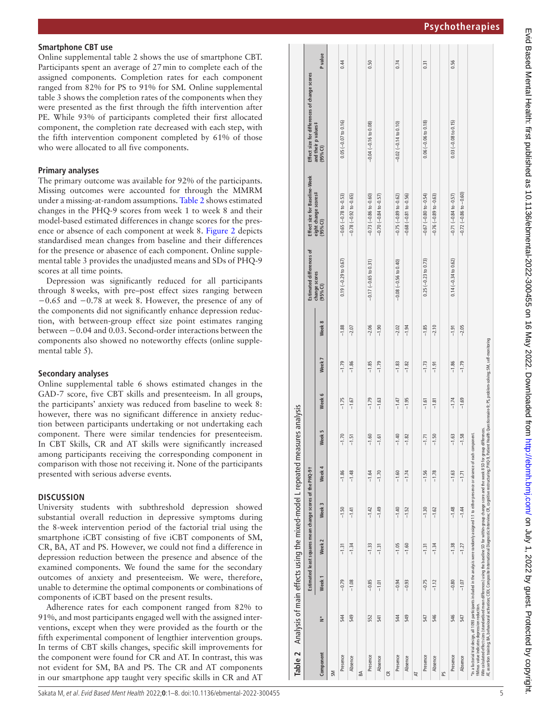#### **Smartphone CBT use**

[Online supplemental table 2](https://dx.doi.org/10.1136/ebmental-2022-300455) shows the use of smartphone CBT. Participants spent an average of 27min to complete each of the assigned components. Completion rates for each component ranged from 82% for PS to 91% for SM. [Online supplemental](https://dx.doi.org/10.1136/ebmental-2022-300455)  [table 3](https://dx.doi.org/10.1136/ebmental-2022-300455) shows the completion rates of the components when they were presented as the first through the fifth intervention after PE. While 93% of participants completed their first allocated component, the completion rate decreased with each step, with the fifth intervention component completed by 61% of those who were allocated to all five components.

#### **Primary analyses**

The primary outcome was available for 92% of the participants. Missing outcomes were accounted for through the MMRM under a missing-at-random assumptions. [Table](#page-4-0) 2 shows estimated changes in the PHQ-9 scores from week 1 to week 8 and their model-based estimated differences in change scores for the pres ence or absence of each component at week 8. [Figure](#page-5-0) 2 depicts standardised mean changes from baseline and their differences for the presence or abasence of each component. [Online supple](https://dx.doi.org/10.1136/ebmental-2022-300455) [mental table 3](https://dx.doi.org/10.1136/ebmental-2022-300455) provides the unadjusted means and SDs of PHQ-9 scores at all time points.

Depression was significantly reduced for all participants through 8weeks, with pre–post effect sizes ranging between −0.65 and −0.78 at week 8. However, the presence of any of the components did not significantly enhance depression reduc tion, with between-group effect size point estimates ranging between −0.04 and 0.03. Second-order interactions between the components also showed no noteworthy effects ([online supple](https://dx.doi.org/10.1136/ebmental-2022-300455) [mental table 5\)](https://dx.doi.org/10.1136/ebmental-2022-300455).

#### **Secondary analyses**

[Online supplemental table 6](https://dx.doi.org/10.1136/ebmental-2022-300455) shows estimated changes in the GAD-7 score, five CBT skills and presenteeism. In all groups, the participants' anxiety was reduced from baseline to week 8: however, there was no significant difference in anxiety reduc tion between participants undertaking or not undertaking each component. There were similar tendencies for presenteeism. In CBT Skills, CR and AT skills were significantly increased among participants receiving the corresponding component in comparison with those not receiving it. None of the participants presented with serious adverse events.

#### **DISCUSSION**

University students with subthreshold depression showed substantial overall reduction in depressive symptoms during the 8-week intervention period of the factorial trial using the smartphone iCBT consisting of five iCBT components of SM, CR, BA, AT and PS. However, we could not find a difference in depression reduction between the presence and absence of the examined components. We found the same for the secondary outcomes of anxiety and presenteeism. We were, therefore, unable to determine the optimal components or combinations of components of iCBT based on the present results.

**Table 2** Analysis of main effects using the mixed-model L repeated measures analysis

<span id="page-4-0"></span>Table 2

Analysis of main effects using the mixed-model L repeated measures analysis

**Estimated least squares mean change scores of the PHQ-9† Estimated differences of** 

change scores of the PHQ-91

Estimated least squares mean Week<sub>2</sub>

**Week 1 Week 2 Week 3 Week 4 Week 5 Week 6 Week 7 Week 8**

Week 4

Week 3

Week 5

Presence 544 −0.79 −1.31 −1.50 −1.86 −1.70 −1.75 −1.79 −1.88 0.19 (−0.29 to 0.67) −0.65 (−0.78 to -0.53) 0.05 (−0.07 to 0.16) 0.44

 $-1.79$  $-1.86$ 

 $-1.75$  $-1.67$ 

 $-1.70$ 

 $-1.86$ 

 $-1.50$  $-1.41$ 

 $-1.31$  $-1.34$ 

 $-0.79$  $-1.08$ 

 $\frac{54}{4}$ 

 $-1.88$ 

 $-2.07$ 

Presence 521 −1.62 −1.720 −1.79 −1.85 −1.85 −1.05 −1.05 −1.05 −1.05 −1.05 −1.05 −1.05 −1.05 −1.09 −1.05 −1.09 −1.85 −1.09 −1.05 −1.09 −1.09 −1.09 −1.09 −1.09 −1.09 −1.09 −1.09 −1.09 −1.09 −1.09 −1.09 −1.09 −1.09 −1.09 −1

 $-1.85$  $-1.79$ 

 $-1.79$ 

 $-2.06$ 

Presence 544 −1.050 −1.040 −1.040 −1.02 −1.02 −1.02 −1.02 −1.02 −1.02 −1.02 −1.02 −1.02 −1.02 −1.02 −1.02 −1.02 −1.02 −1.02 = 0.02 −1.02 = 0.02 −1.02 = 0.02 −1.02 = 0.02 −1.02 = 0.02 −1.02 = 0.02 = 0.02 = 0.02 = 0.02 = 0.

 $-1.83$  $-1.82$ 

 $-1.47$  $-1.95$ 

 $-1.40$  $-1.82$ 

 $-1.60$ 

 $-1.40$  $-1.52$ 

 $-1.05$  $-1.60$ 

 $-0.94$  $-0.93$ 

 $rac{54}{4}$ 

 $-2.02$  $-1.94$ 

 $0.74$ 

 $0.02 (-0.14 to 0.10)$ 

 $-0.75(-0.89$  to  $-0.62)$ 

 $-0.08 (-0.56 to 0.40)$ 

 $-0.68$   $(-0.81$  to  $-0.56)$ 

 $0.31$ 

 $0.06 (-0.06 to 0.18)$ 

 $-0.67$   $(-0.80$  to  $-0.54)$ 

 $0.25 (-0.23 to 0.73)$ 

 $-0.76(-0.89 to -0.63)$ 

0.50

 $0.04 (-0.16 to 0.08)$ 

 $-0.73$   $(-0.86$  to  $-0.60)$  $-0.70$   $(-0.84$  to  $-0.57)$ 

 $-0.17$   $(-0.65$  to  $0.31)$ 

Presence 547 −2.80 −1.250 −1.81 −1.85 −1.85 −1.85 −1.85 −1.71 −1.71 −1.71 −1.71 −1.71 −1.71 −1.71 −1.71 −1.81<br>Presence 1.85 0.070 = 0.81 = 0.81 = 0.07 = 0.171 − 0.81 = 0.81 = 0.81 = 0.81 = 0.81 = 0.181 = 0.181 = 0.181 =

 $-1.73$ <br> $-1.91$ 

 $\frac{-1.61}{-1.81}$ 

 $-1.85$ <br> $-2.10$ 

Absence 546 −1.02 −1.02 −1.02 −1.02 −1.02 −1.02 −1.02 −1.78 −1.78 −1.78 −1.78 −1.72 −1.02 −1.02 −1.02 −1.02 −1.02 −1.02 −1.02 −1.02 −1.02 −1.02 −1.02 −1.02 −1.02 −1.02 −1.02 −1.02 −1.02 −1.02 −1.02 −1.02 −1.02 −1.02 −1.0

 $-1.71$ 

 $-1.56$  $-1.78$ 

 $-1.30$ 

 $-1.31$ <br> $-1.34$ 

 $-0.75$  $-1.12$ 

547

 $-1.62$ 

GSCP-9.82 −0.95 −1.991 −1.82 −1.95 −1.95 −1.95 −1.95 −1.95 −1.95 −1.95 −1.95 −1.95 −1.95 −1.95 −1.95 −1.95 −1.

 $-1.74$ 

C.S.C.P.9180U-001.01 −1.51 −1.51 −1.51 −1.71 −1.71 −1.71 −1.71 −1.71 −1.71 −1.79 −1.79 −1.79 −1.79 −1.79 −1.79 −1.79 −1.79 −1.79 −1.79 −1.79 −1.79 −1.79 −1.79 −1.79 −1.79 −1.79 −1.79 −1.79 −1.79 −1.79 −1.79 −1.79 −1.79 −

 $-1.61$ 

 $-1.70$ 

 $-1.49$ 

 $-1.60$ 

 $-1.64$ 

 $-1.42$ 

 $-1.33$  $-1.31$ 

 $-0.85$  $-1.01$ 

 $\frac{52}{541}$ 

Absence 549 −1.08 −1.34 −1.41 −1.47 −1.48 −1.441 −1.47 −1.47 −1.47 −1.57 −1.57 −1.57 −1.57 −1.57 −1.57 −1.57 −1.57 −1.57 −1.57 −1.57 −1.57 −1.57 −1.57 −1.57 −1.57 −1.57 −1.57 −1.57 −1.57 −1.57 −1.57 −1.57 −1.57 −1.57 −1.5

 $-1.51$ 

 $-1.48$ 

**change scores (95%CI)**

Week 8

Week 7

Week 6

**Effect size for Baseline-Week eight change scores‡ (95%CI)**

 $\frac{1}{2}$  $size$ Effect s

**ICBS** 

Estimated differ scores

Baselinescores#

**Effect size for differences of change scores** 

Effect size

for differences of change

scores

**and their p values‡**

and their p values‡<br>(95% Cl)

**(95%CI) P value**

P value

0.44

 $-0.07$  to 0.16)

 $0.05($ 

 $-0.65$   $(-0.78$  to  $-0.53)$  $-0.78(-0.92$  to  $-0.65)$ 

 $0.19 (-0.29 to 0.67)$ 

**Component N\***

Component

 $\zeta$ 

Week<sub>1</sub>

SM

Presence

Absence

BA

Presence

Absence

 $\tilde{\epsilon}$ 

Presence Absence

AT

Presence Absence

PS

Adherence rates for each component ranged from 82% to 91%, and most participants engaged well with the assigned inter ventions, except when they were provided as the fourth or the fifth experimental component of lengthier intervention groups. In terms of CBT skills changes, specific skill improvements for the component were found for CR and AT. In contrast, this was not evident for SM, BA and PS. The CR and AT components in our smartphone app taught very specific skills in CR and AT **1.56** 

 $0.03$  (-0.08 to 0.15)

 $-0.71(-0.84$  to  $-0.57)$ 

 $0.14(-0.34 to 0.62)$ 

Evid Based Mental Health: first published as 10.1136/ebmental-2022-300455 on 16 May 2022. Downloaded from http://ebmh.bmj.com/ on July 1, 2022 by guest. Protected by copyright Evid Based Mental Health: first published as 10.1136/ebmental-2022-300455 on 16 May 2022. Downloaded from <http://ebmh.bmj.com/> on July 1, 2022 by guest. Protected by copyright.

95.0 −2.03 −0.03 −1.25 −1.75 −1.89 −1.75 −1.88 −1.74 −1.75 −1.74 −1.74 −1.74 −1.74 −1.74 −0.92 −1.89 −1.89 −1.89 −1.89 −1.89 −1.89 −1.89 −1.89 −1.98 −1.98 −1.98 −1.98 −1.98 −1.98 −1.98 −1.93 =1.09 −1.09 −1.09 −1.09 −1.

 $-1.86$ 

 $-1.74$ 

 $-1.63$ 

 $-1.63$ 

 $-1.48$ 

 $-1.38$ 

 $-0.80$ 

546

Presence

5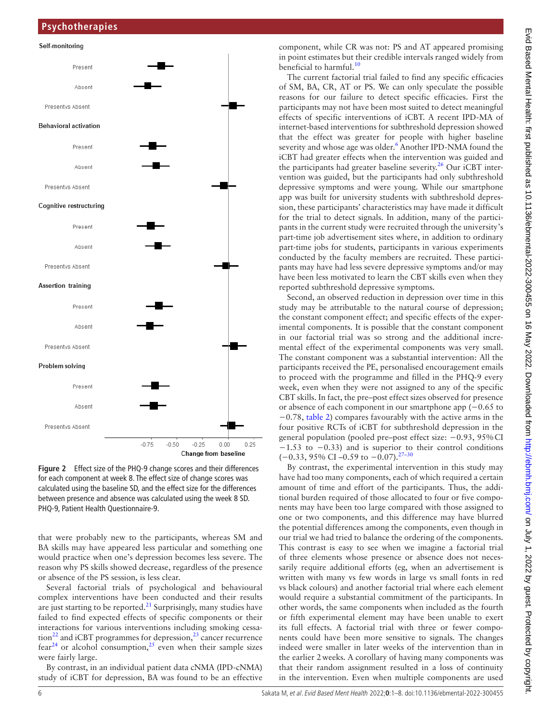

<span id="page-5-0"></span>**Figure 2** Effect size of the PHQ-9 change scores and their differences for each component at week 8. The effect size of change scores was calculated using the baseline SD, and the effect size for the differences between presence and absence was calculated using the week 8 SD. PHQ-9, Patient Health Questionnaire-9.

that were probably new to the participants, whereas SM and BA skills may have appeared less particular and something one would practice when one's depression becomes less severe. The reason why PS skills showed decrease, regardless of the presence or absence of the PS session, is less clear.

Several factorial trials of psychological and behavioural complex interventions have been conducted and their results are just starting to be reported. $^{21}$  Surprisingly, many studies have failed to find expected effects of specific components or their interactions for various interventions including smoking cessa- $\frac{1}{2}$  and iCBT programmes for depression,<sup>23</sup> cancer recurrence  $fear^{24}$  or alcohol consumption,<sup>[25](#page-7-18)</sup> even when their sample sizes were fairly large.

By contrast, in an individual patient data cNMA (IPD-cNMA) study of iCBT for depression, BA was found to be an effective

component, while CR was not: PS and AT appeared promising in point estimates but their credible intervals ranged widely from beneficial to harmful.<sup>[10](#page-7-4)</sup>

The current factorial trial failed to find any specific efficacies of SM, BA, CR, AT or PS. We can only speculate the possible reasons for our failure to detect specific efficacies. First the participants may not have been most suited to detect meaningful effects of specific interventions of iCBT. A recent IPD-MA of internet-based interventions for subthreshold depression showed that the effect was greater for people with higher baseline severity and whose age was older.<sup>[6](#page-7-19)</sup> Another IPD-NMA found the iCBT had greater effects when the intervention was guided and the participants had greater baseline severity.<sup>26</sup> Our iCBT intervention was guided, but the participants had only subthreshold depressive symptoms and were young. While our smartphone app was built for university students with subthreshold depression, these participants' characteristics may have made it difficult for the trial to detect signals. In addition, many of the participants in the current study were recruited through the university's part-time job advertisement sites where, in addition to ordinary part-time jobs for students, participants in various experiments conducted by the faculty members are recruited. These participants may have had less severe depressive symptoms and/or may have been less motivated to learn the CBT skills even when they reported subthreshold depressive symptoms.

Second, an observed reduction in depression over time in this study may be attributable to the natural course of depression; the constant component effect; and specific effects of the experimental components. It is possible that the constant component in our factorial trial was so strong and the additional incremental effect of the experimental components was very small. The constant component was a substantial intervention: All the participants received the PE, personalised encouragement emails to proceed with the programme and filled in the PHQ-9 every week, even when they were not assigned to any of the specific CBT skills. In fact, the pre–post effect sizes observed for presence or absence of each component in our smartphone app (−0.65 to −0.78, [table](#page-4-0) 2) compares favourably with the active arms in the four positive RCTs of iCBT for subthreshold depression in the general population (pooled pre–post effect size: −0.93, 95%CI −1.53 to −0.33) and is superior to their control conditions  $(-0.33, 95\% \text{ CI} -0.59 \text{ to } -0.07)$ .<sup>[27–30](#page-7-21)</sup>

By contrast, the experimental intervention in this study may have had too many components, each of which required a certain amount of time and effort of the participants. Thus, the additional burden required of those allocated to four or five components may have been too large compared with those assigned to one or two components, and this difference may have blurred the potential differences among the components, even though in our trial we had tried to balance the ordering of the components. This contrast is easy to see when we imagine a factorial trial of three elements whose presence or absence does not necessarily require additional efforts (eg, when an advertisement is written with many vs few words in large vs small fonts in red vs black colours) and another factorial trial where each element would require a substantial commitment of the participants. In other words, the same components when included as the fourth or fifth experimental element may have been unable to exert its full effects. A factorial trial with three or fewer components could have been more sensitive to signals. The changes indeed were smaller in later weeks of the intervention than in the earlier 2weeks. A corollary of having many components was that their random assignment resulted in a loss of continuity in the intervention. Even when multiple components are used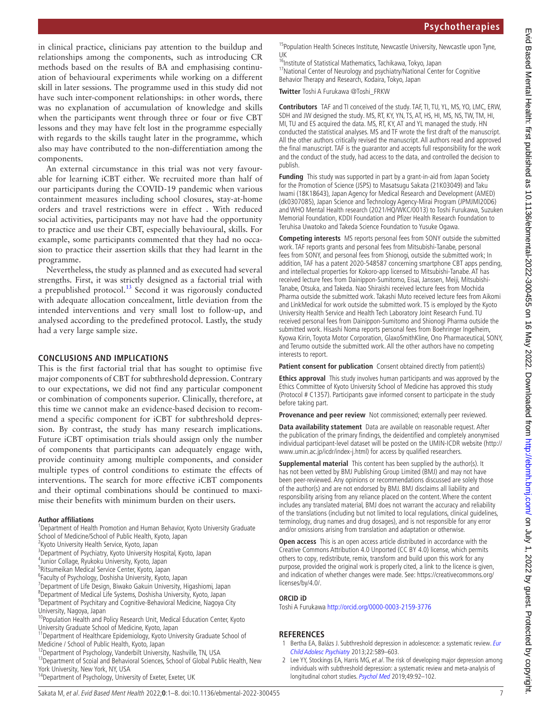in clinical practice, clinicians pay attention to the buildup and relationships among the components, such as introducing CR methods based on the results of BA and emphasising continuation of behavioural experiments while working on a different skill in later sessions. The programme used in this study did not have such inter-component relationships: in other words, there was no explanation of accumulation of knowledge and skills when the participants went through three or four or five CBT lessons and they may have felt lost in the programme especially with regards to the skills taught later in the programme, which also may have contributed to the non-differentiation among the components.

An external circumstance in this trial was not very favourable for learning iCBT either. We recruited more than half of our participants during the COVID-19 pandemic when various containment measures including school closures, stay-at-home orders and travel restrictions were in effect . With reduced social activities, participants may not have had the opportunity to practice and use their CBT, especially behavioural, skills. For example, some participants commented that they had no occasion to practice their assertion skills that they had learnt in the programme.

Nevertheless, the study as planned and as executed had several strengths. First, it was strictly designed as a factorial trial with a prepublished protocol.<sup>13</sup> Second it was rigorously conducted with adequate allocation concealment, little deviation from the intended interventions and very small lost to follow-up, and analysed according to the predefined protocol. Lastly, the study had a very large sample size.

# **CONCLUSIONS AND IMPLICATIONS**

This is the first factorial trial that has sought to optimise five major components of CBT for subthreshold depression. Contrary to our expectations, we did not find any particular component or combination of components superior. Clinically, therefore, at this time we cannot make an evidence-based decision to recommend a specific component for iCBT for subthreshold depression. By contrast, the study has many research implications. Future iCBT optimisation trials should assign only the number of components that participants can adequately engage with, provide continuity among multiple components, and consider multiple types of control conditions to estimate the effects of interventions. The search for more effective iCBT components and their optimal combinations should be continued to maximise their benefits with minimum burden on their users.

# **Author affiliations**

- <sup>1</sup>Department of Health Promotion and Human Behavior, Kyoto University Graduate School of Medicine/School of Public Health, Kyoto, Japan
- <sup>2</sup> Kyoto University Health Service, Kyoto, Japan
- <sup>3</sup> Department of Psychiatry, Kyoto University Hospital, Kyoto, Japan
- 4 Junior Collage, Ryukoku University, Kyoto, Japan
- 5 Ritsumeikan Medical Service Center, Kyoto, Japan
- 6 Faculty of Psychology, Doshisha University, Kyoto, Japan
- 7 Department of Life Design, Biwako Gakuin University, Higashiomi, Japan
- 8 Department of Medical Life Systems, Doshisha University, Kyoto, Japan

<sup>9</sup> Department of Psychitary and Cognitive-Behavioral Medicine, Nagoya City University, Nagoya, Japan

<sup>10</sup> Population Health and Policy Research Unit, Medical Education Center, Kyoto University Graduate School of Medicine, Kyoto, Japan

11Department of Healthcare Epidemiology, Kyoto University Graduate School of Medicine / School of Public Health, Kyoto, Japan

<sup>12</sup>Department of Psychology, Vanderbilt University, Nashville, TN, USA

<sup>13</sup>Department of Scoial and Behavioral Sciences, School of Global Public Health, New York University, New York, NY, USA

14Department of Psychology, University of Exeter, Exeter, UK

<sup>15</sup> Population Health Scineces Institute, Newcastle University, Newcastle upon Tyne, UK

<sup>16</sup>Institute of Statistical Mathematics, Tachikawa, Tokyo, Japan <sup>17</sup>National Center of Neurology and psychiatry/National Center for Cognitive Behavior Therapy and Research, Kodaira, Tokyo, Japan

**Twitter** Toshi A Furukawa [@Toshi\\_FRKW](https://twitter.com/Toshi_FRKW)

**Contributors** TAF and TI conceived of the study. TAF, TI, TU, YL, MS, YO, LMC, ERW, SDH and JW designed the study. MS, RT, KY, YN, TS, AT, HS, HI, MS, NS, TW, TM, HI, MI, TU and ES acquired the data. MS, RT, KY, AT and YL managed the study. HN conducted the statistical analyses. MS and TF wrote the first draft of the manuscript. All the other authors critically revised the manuscript. All authors read and approved the final manuscript. TAF is the guarantor and accepts full responsibility for the work and the conduct of the study, had access to the data, and controlled the decision to publish.

**Funding** This study was supported in part by a grant-in-aid from Japan Society for the Promotion of Science (JSPS) to Masatsugu Sakata (21K03049) and Taku Iwami (18K18643), Japan Agency for Medical Research and Development (AMED) (dk0307085), Japan Science and Technology Agency-Mirai Program (JPMJMI20D6) and WHO Mental Health research (2021/HQ/WKC/0013) to Toshi Furukawa, Suzuken Memorial Foundation, KDDI Foundation and Pfizer Health Research Foundation to Teruhisa Uwatoko and Takeda Science Foundation to Yusuke Ogawa.

**Competing interests** MS reports personal fees from SONY outside the submitted work. TAF reports grants and personal fees from Mitsubishi-Tanabe, personal fees from SONY, and personal fees from Shionogi, outside the submitted work; In addition, TAF has a patent 2020-548587 concerning smartphone CBT apps pending, and intellectual properties for Kokoro-app licensed to Mitsubishi-Tanabe. AT has received lecture fees from Dainippon-Sumitomo, Eisai, Janssen, Meiji, Mitsubishi-Tanabe, Otsuka, and Takeda. Nao Shiraishi received lecture fees from Mochida Pharma outside the submitted work. Takashi Muto received lecture fees from Aikomi and LinkMedical for work outside the submitted work. TS is employed by the Kyoto University Health Service and Health Tech Laboratory Joint Research Fund. TU received personal fees from Dainippon-Sumitomo and Shionogi Pharma outside the submitted work. Hisashi Noma reports personal fees from Boehringer Ingelheim, Kyowa Kirin, Toyota Motor Corporation, GlaxoSmithKline, Ono Pharmaceutical, SONY, and Terumo outside the submitted work. All the other authors have no competing interests to report.

**Patient consent for publication** Consent obtained directly from patient(s)

**Ethics approval** This study involves human participants and was approved by the Ethics Committee of Kyoto University School of Medicine has approved this study (Protocol # C1357). Participants gave informed consent to participate in the study before taking part.

**Provenance and peer review** Not commissioned; externally peer reviewed.

**Data availability statement** Data are available on reasonable request. After the publication of the primary findings, the deidentified and completely anonymised individual participant-level dataset will be posted on the UMIN-ICDR website ([http://](http://www.umin.ac.jp/icdr/index-j.html) [www.umin.ac.jp/icdr/index-j.html\)](http://www.umin.ac.jp/icdr/index-j.html) for access by qualified researchers.

**Supplemental material** This content has been supplied by the author(s). It has not been vetted by BMJ Publishing Group Limited (BMJ) and may not have been peer-reviewed. Any opinions or recommendations discussed are solely those of the author(s) and are not endorsed by BMJ. BMJ disclaims all liability and responsibility arising from any reliance placed on the content. Where the content includes any translated material, BMJ does not warrant the accuracy and reliability of the translations (including but not limited to local regulations, clinical guidelines, terminology, drug names and drug dosages), and is not responsible for any error and/or omissions arising from translation and adaptation or otherwise.

**Open access** This is an open access article distributed in accordance with the Creative Commons Attribution 4.0 Unported (CC BY 4.0) license, which permits others to copy, redistribute, remix, transform and build upon this work for any purpose, provided the original work is properly cited, a link to the licence is given, and indication of whether changes were made. See: [https://creativecommons.org/](https://creativecommons.org/licenses/by/4.0/) [licenses/by/4.0/.](https://creativecommons.org/licenses/by/4.0/)

# **ORCID iD**

Toshi A Furukawa <http://orcid.org/0000-0003-2159-3776>

# **REFERENCES**

- <span id="page-6-0"></span>1 Bertha EA, Balázs J. Subthreshold depression in adolescence: a systematic review. Eur [Child Adolesc Psychiatry](http://dx.doi.org/10.1007/s00787-013-0411-0) 2013;22:589–603.
- <span id="page-6-1"></span>2 Lee YY, Stockings EA, Harris MG, et al. The risk of developing major depression among individuals with subthreshold depression: a systematic review and meta-analysis of longitudinal cohort studies. [Psychol Med](http://dx.doi.org/10.1017/S0033291718000557) 2019;49:92–102.